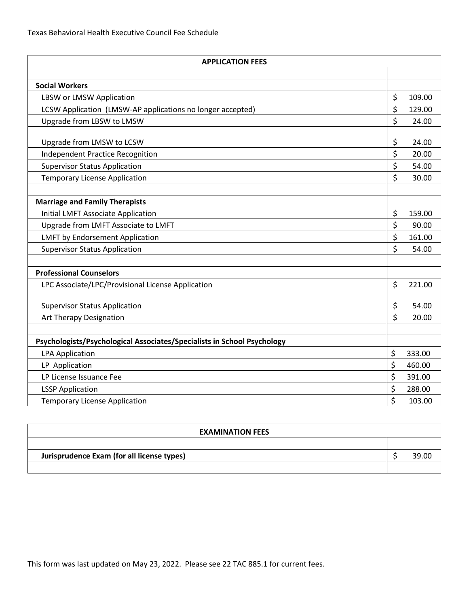| <b>APPLICATION FEES</b>                                                 |          |        |
|-------------------------------------------------------------------------|----------|--------|
|                                                                         |          |        |
| <b>Social Workers</b>                                                   |          |        |
| <b>LBSW or LMSW Application</b>                                         | \$       | 109.00 |
| LCSW Application (LMSW-AP applications no longer accepted)              | \$       | 129.00 |
| Upgrade from LBSW to LMSW                                               | \$       | 24.00  |
|                                                                         |          |        |
| Upgrade from LMSW to LCSW                                               | \$       | 24.00  |
| <b>Independent Practice Recognition</b>                                 | \$       | 20.00  |
| <b>Supervisor Status Application</b>                                    | \$       | 54.00  |
| <b>Temporary License Application</b>                                    | \$       | 30.00  |
|                                                                         |          |        |
| <b>Marriage and Family Therapists</b>                                   |          |        |
| <b>Initial LMFT Associate Application</b>                               | \$       | 159.00 |
| Upgrade from LMFT Associate to LMFT                                     | \$       | 90.00  |
| <b>LMFT by Endorsement Application</b>                                  | \$       | 161.00 |
| <b>Supervisor Status Application</b>                                    | \$       | 54.00  |
|                                                                         |          |        |
| <b>Professional Counselors</b>                                          |          |        |
| LPC Associate/LPC/Provisional License Application                       | \$       | 221.00 |
|                                                                         |          | 54.00  |
| <b>Supervisor Status Application</b>                                    | \$<br>\$ | 20.00  |
| Art Therapy Designation                                                 |          |        |
| Psychologists/Psychological Associates/Specialists in School Psychology |          |        |
| <b>LPA Application</b>                                                  | \$       | 333.00 |
| LP Application                                                          | $\zeta$  | 460.00 |
| LP License Issuance Fee                                                 | \$       | 391.00 |
| <b>LSSP Application</b>                                                 | \$       | 288.00 |
| <b>Temporary License Application</b>                                    | \$       | 103.00 |

| <b>EXAMINATION FEES</b>                    |  |       |  |
|--------------------------------------------|--|-------|--|
|                                            |  |       |  |
| Jurisprudence Exam (for all license types) |  | 39.00 |  |
|                                            |  |       |  |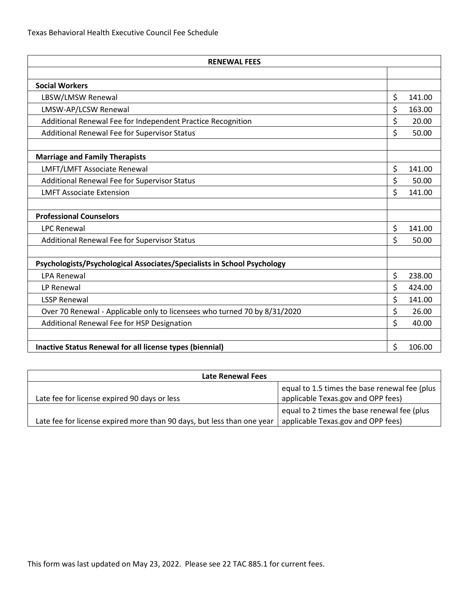| <b>RENEWAL FEES</b>                                                       |    |        |
|---------------------------------------------------------------------------|----|--------|
|                                                                           |    |        |
| <b>Social Workers</b>                                                     |    |        |
| LBSW/LMSW Renewal                                                         | \$ | 141.00 |
| LMSW-AP/LCSW Renewal                                                      | \$ | 163.00 |
| Additional Renewal Fee for Independent Practice Recognition               | \$ | 20.00  |
| Additional Renewal Fee for Supervisor Status                              | Ś  | 50.00  |
| <b>Marriage and Family Therapists</b>                                     |    |        |
| LMFT/LMFT Associate Renewal                                               | \$ | 141.00 |
| Additional Renewal Fee for Supervisor Status                              | \$ | 50.00  |
| <b>LMFT Associate Extension</b>                                           | \$ | 141.00 |
| <b>Professional Counselors</b>                                            |    |        |
| <b>LPC Renewal</b>                                                        | \$ | 141.00 |
| Additional Renewal Fee for Supervisor Status                              | \$ | 50.00  |
| Psychologists/Psychological Associates/Specialists in School Psychology   |    |        |
| <b>LPA Renewal</b>                                                        | \$ | 238.00 |
| LP Renewal                                                                | \$ | 424.00 |
| <b>LSSP Renewal</b>                                                       | \$ | 141.00 |
| Over 70 Renewal - Applicable only to licensees who turned 70 by 8/31/2020 | \$ | 26.00  |
| Additional Renewal Fee for HSP Designation                                | Ś  | 40.00  |
|                                                                           |    |        |
| Inactive Status Renewal for all license types (biennial)                  | \$ | 106.00 |

| Late Renewal Fees                                                      |                                                                                     |  |  |  |
|------------------------------------------------------------------------|-------------------------------------------------------------------------------------|--|--|--|
| Late fee for license expired 90 days or less                           | equal to 1.5 times the base renewal fee (plus<br>applicable Texas.gov and OPP fees) |  |  |  |
| Late fee for license expired more than 90 days, but less than one year | equal to 2 times the base renewal fee (plus<br>applicable Texas.gov and OPP fees)   |  |  |  |